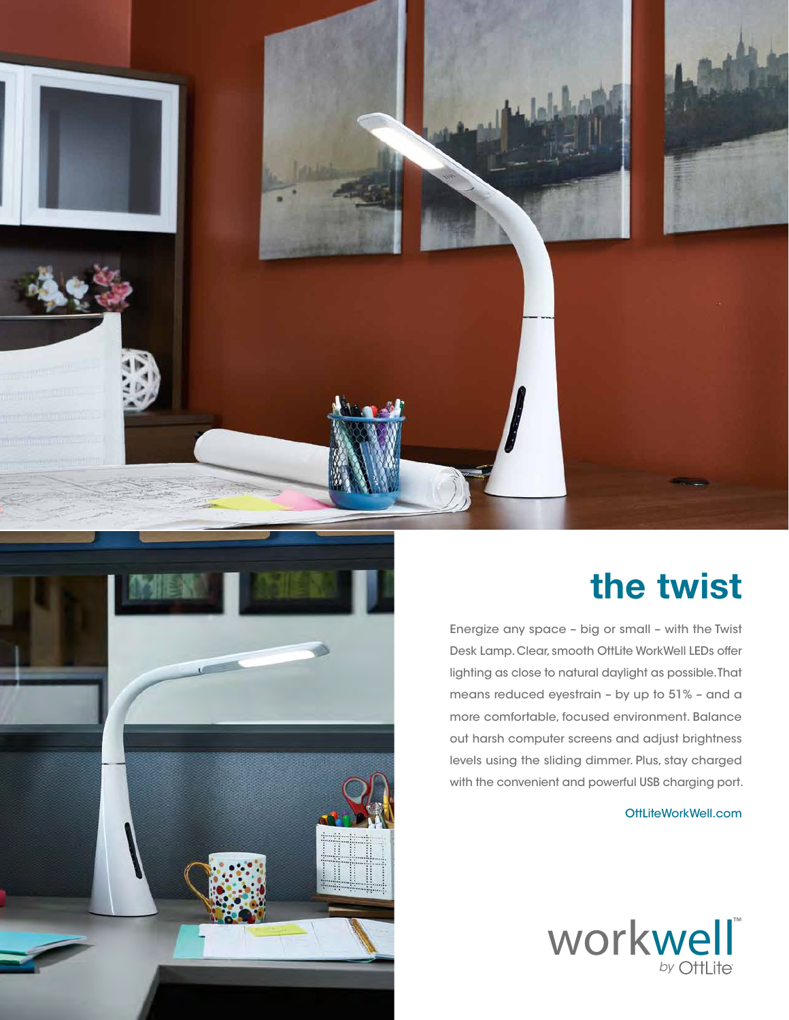



## **the twist**

Energize any space – big or small – with the Twist Desk Lamp. Clear, smooth OttLite WorkWell LEDs offer lighting as close to natural daylight as possible. That means reduced eyestrain – by up to 51% – and a more comfortable, focused environment. Balance out harsh computer screens and adjust brightness levels using the sliding dimmer. Plus, stay charged with the convenient and powerful USB charging port.

OttLiteWorkWell.com